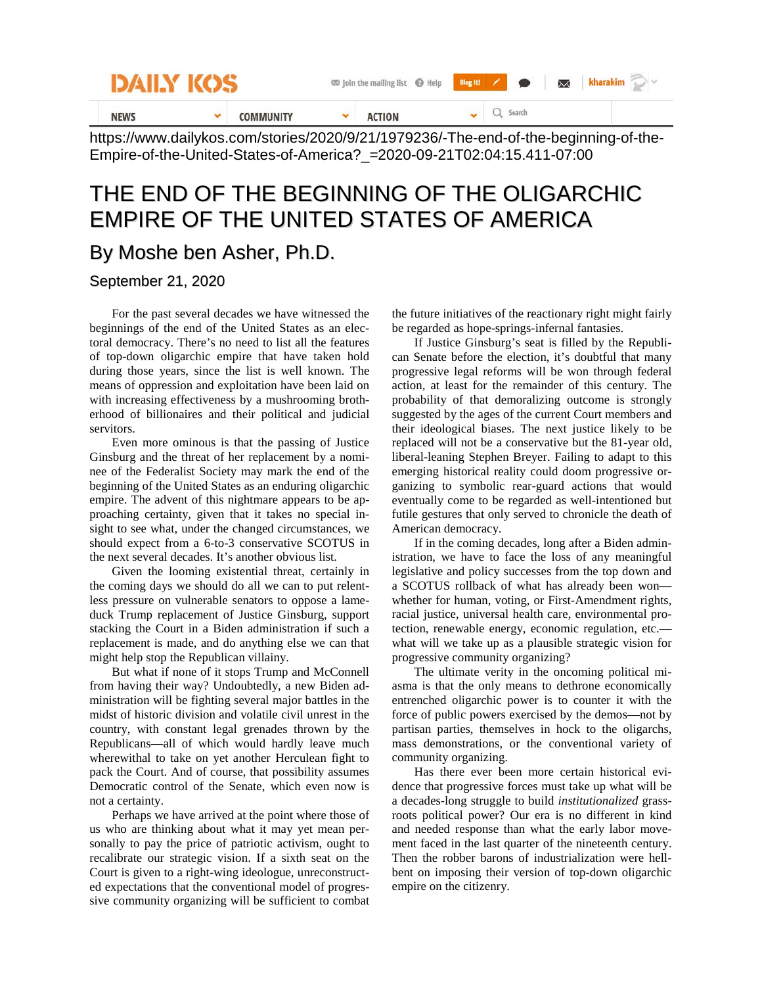| DAILY KOS   |  |                 | so Join the mailing list @ Help | Blog It!<br>$\bowtie$<br>$\bullet$ |  |  |
|-------------|--|-----------------|---------------------------------|------------------------------------|--|--|
| <b>NEWS</b> |  | <b>OMMUNITY</b> | <b>ACTION</b>                   | Search                             |  |  |

https://www.dailykos.com/stories/2020/9/21/1979236/-The-end-of-the-beginning-of-the-Empire-of-the-United-States-of-America?\_=2020-09-21T02:04:15.411-07:00

## THE END OF THE BEGINNING OF THE OLIGARCHIC EMPIRE OF THE UNITED STATES OF AMERICA

## By Moshe ben Asher, Ph.D.

## September 21, 2020

For the past several decades we have witnessed the beginnings of the end of the United States as an electoral democracy. There's no need to list all the features of top-down oligarchic empire that have taken hold during those years, since the list is well known. The means of oppression and exploitation have been laid on with increasing effectiveness by a mushrooming brotherhood of billionaires and their political and judicial servitors.

Even more ominous is that the passing of Justice Ginsburg and the threat of her replacement by a nominee of the Federalist Society may mark the end of the beginning of the United States as an enduring oligarchic empire. The advent of this nightmare appears to be approaching certainty, given that it takes no special insight to see what, under the changed circumstances, we should expect from a 6-to-3 conservative SCOTUS in the next several decades. It's another obvious list.

Given the looming existential threat, certainly in the coming days we should do all we can to put relentless pressure on vulnerable senators to oppose a lameduck Trump replacement of Justice Ginsburg, support stacking the Court in a Biden administration if such a replacement is made, and do anything else we can that might help stop the Republican villainy.

But what if none of it stops Trump and McConnell from having their way? Undoubtedly, a new Biden administration will be fighting several major battles in the midst of historic division and volatile civil unrest in the country, with constant legal grenades thrown by the Republicans—all of which would hardly leave much wherewithal to take on yet another Herculean fight to pack the Court. And of course, that possibility assumes Democratic control of the Senate, which even now is not a certainty.

Perhaps we have arrived at the point where those of us who are thinking about what it may yet mean personally to pay the price of patriotic activism, ought to recalibrate our strategic vision. If a sixth seat on the Court is given to a right-wing ideologue, unreconstructed expectations that the conventional model of progressive community organizing will be sufficient to combat

the future initiatives of the reactionary right might fairly be regarded as hope-springs-infernal fantasies.

If Justice Ginsburg's seat is filled by the Republican Senate before the election, it's doubtful that many progressive legal reforms will be won through federal action, at least for the remainder of this century. The probability of that demoralizing outcome is strongly suggested by the ages of the current Court members and their ideological biases. The next justice likely to be replaced will not be a conservative but the 81-year old, liberal-leaning Stephen Breyer. Failing to adapt to this emerging historical reality could doom progressive organizing to symbolic rear-guard actions that would eventually come to be regarded as well-intentioned but futile gestures that only served to chronicle the death of American democracy.

If in the coming decades, long after a Biden administration, we have to face the loss of any meaningful legislative and policy successes from the top down and a SCOTUS rollback of what has already been won whether for human, voting, or First-Amendment rights, racial justice, universal health care, environmental protection, renewable energy, economic regulation, etc. what will we take up as a plausible strategic vision for progressive community organizing?

The ultimate verity in the oncoming political miasma is that the only means to dethrone economically entrenched oligarchic power is to counter it with the force of public powers exercised by the demos—not by partisan parties, themselves in hock to the oligarchs, mass demonstrations, or the conventional variety of community organizing.

Has there ever been more certain historical evidence that progressive forces must take up what will be a decades-long struggle to build *institutionalized* grassroots political power? Our era is no different in kind and needed response than what the early labor movement faced in the last quarter of the nineteenth century. Then the robber barons of industrialization were hellbent on imposing their version of top-down oligarchic empire on the citizenry.